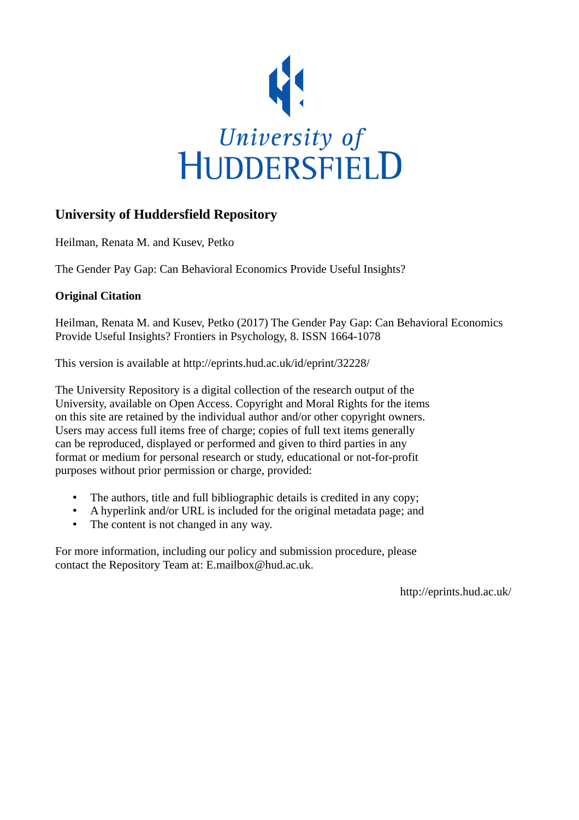

## **University of Huddersfield Repository**

Heilman, Renata M. and Kusev, Petko

The Gender Pay Gap: Can Behavioral Economics Provide Useful Insights?

## **Original Citation**

Heilman, Renata M. and Kusev, Petko (2017) The Gender Pay Gap: Can Behavioral Economics Provide Useful Insights? Frontiers in Psychology, 8. ISSN 1664-1078

This version is available at http://eprints.hud.ac.uk/id/eprint/32228/

The University Repository is a digital collection of the research output of the University, available on Open Access. Copyright and Moral Rights for the items on this site are retained by the individual author and/or other copyright owners. Users may access full items free of charge; copies of full text items generally can be reproduced, displayed or performed and given to third parties in any format or medium for personal research or study, educational or not-for-profit purposes without prior permission or charge, provided:

- The authors, title and full bibliographic details is credited in any copy;
- A hyperlink and/or URL is included for the original metadata page; and
- The content is not changed in any way.

For more information, including our policy and submission procedure, please contact the Repository Team at: E.mailbox@hud.ac.uk.

http://eprints.hud.ac.uk/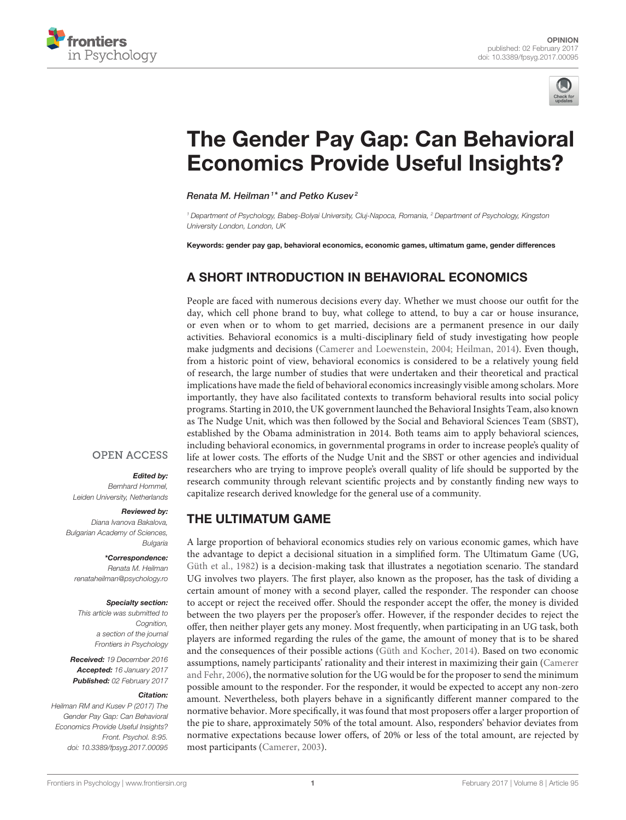



# [The Gender Pay Gap: Can Behavioral](http://journal.frontiersin.org/article/10.3389/fpsyg.2017.00095/full) Economics Provide Useful Insights?

[Renata M. Heilman](http://loop.frontiersin.org/people/100525/overview)<sup>1\*</sup> and [Petko Kusev](http://loop.frontiersin.org/people/30267/overview)<sup>2</sup>

<sup>1</sup> Department of Psychology, Babeş-Bolyai University, Cluj-Napoca, Romania, <sup>2</sup> Department of Psychology, Kingston *University London, London, UK*

Keywords: gender pay gap, behavioral economics, economic games, ultimatum game, gender differences

## A SHORT INTRODUCTION IN BEHAVIORAL ECONOMICS

People are faced with numerous decisions every day. Whether we must choose our outfit for the day, which cell phone brand to buy, what college to attend, to buy a car or house insurance, or even when or to whom to get married, decisions are a permanent presence in our daily activities. Behavioral economics is a multi-disciplinary field of study investigating how people make judgments and decisions [\(Camerer and Loewenstein, 2004;](#page-3-0) [Heilman, 2014\)](#page-3-1). Even though, from a historic point of view, behavioral economics is considered to be a relatively young field of research, the large number of studies that were undertaken and their theoretical and practical implications have made the field of behavioral economics increasingly visible among scholars. More importantly, they have also facilitated contexts to transform behavioral results into social policy programs. Starting in 2010, the UK government launched the Behavioral Insights Team, also known as The Nudge Unit, which was then followed by the Social and Behavioral Sciences Team (SBST), established by the Obama administration in 2014. Both teams aim to apply behavioral sciences, including behavioral economics, in governmental programs in order to increase people's quality of life at lower costs. The efforts of the Nudge Unit and the SBST or other agencies and individual researchers who are trying to improve people's overall quality of life should be supported by the research community through relevant scientific projects and by constantly finding new ways to capitalize research derived knowledge for the general use of a community.

## THE ULTIMATUM GAME

A large proportion of behavioral economics studies rely on various economic games, which have the advantage to depict a decisional situation in a simplified form. The Ultimatum Game (UG, [Güth et al., 1982\)](#page-3-2) is a decision-making task that illustrates a negotiation scenario. The standard UG involves two players. The first player, also known as the proposer, has the task of dividing a certain amount of money with a second player, called the responder. The responder can choose to accept or reject the received offer. Should the responder accept the offer, the money is divided between the two players per the proposer's offer. However, if the responder decides to reject the offer, then neither player gets any money. Most frequently, when participating in an UG task, both players are informed regarding the rules of the game, the amount of money that is to be shared and the consequences of their possible actions [\(Güth and Kocher, 2014\)](#page-3-3). Based on two economic assumptions, namely participants' rationality and their interest in maximizing their gain (Camerer and Fehr, [2006\)](#page-3-4), the normative solution for the UG would be for the proposer to send the minimum possible amount to the responder. For the responder, it would be expected to accept any non-zero amount. Nevertheless, both players behave in a significantly different manner compared to the normative behavior. More specifically, it was found that most proposers offer a larger proportion of the pie to share, approximately 50% of the total amount. Also, responders' behavior deviates from normative expectations because lower offers, of 20% or less of the total amount, are rejected by most participants [\(Camerer, 2003\)](#page-3-5).

## **OPEN ACCESS**

#### Edited by:

*Bernhard Hommel, Leiden University, Netherlands*

#### Reviewed by:

*Diana Ivanova Bakalova, Bulgarian Academy of Sciences, Bulgaria*

#### \*Correspondence:

*Renata M. Heilman [renataheilman@psychology.ro](mailto:renataheilman@psychology.ro)*

#### Specialty section:

*This article was submitted to Cognition, a section of the journal Frontiers in Psychology*

Received: *19 December 2016* Accepted: *16 January 2017* Published: *02 February 2017*

#### Citation:

*Heilman RM and Kusev P (2017) The Gender Pay Gap: Can Behavioral Economics Provide Useful Insights? Front. Psychol. 8:95. doi: [10.3389/fpsyg.2017.00095](https://doi.org/10.3389/fpsyg.2017.00095)*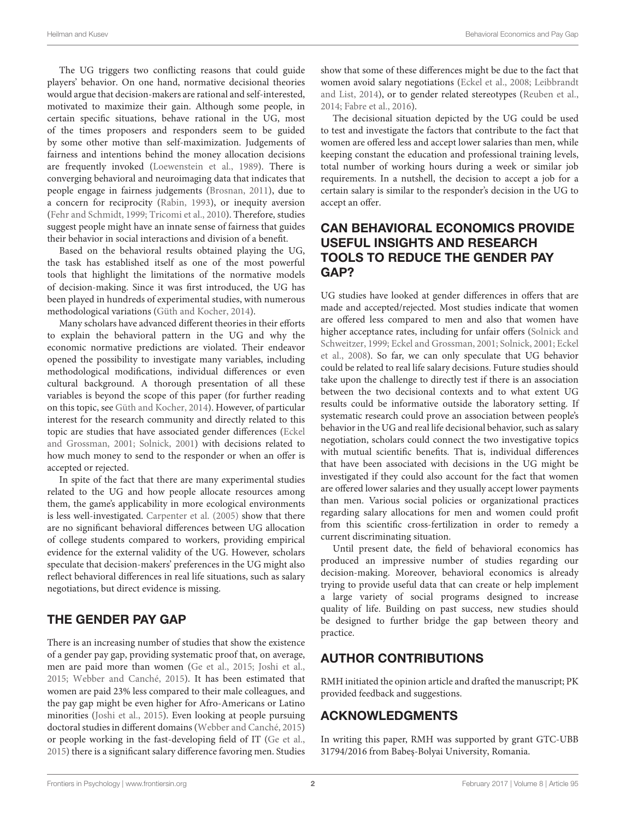The UG triggers two conflicting reasons that could guide players' behavior. On one hand, normative decisional theories would argue that decision-makers are rational and self-interested, motivated to maximize their gain. Although some people, in certain specific situations, behave rational in the UG, most of the times proposers and responders seem to be guided by some other motive than self-maximization. Judgements of fairness and intentions behind the money allocation decisions are frequently invoked [\(Loewenstein et al., 1989\)](#page-3-6). There is converging behavioral and neuroimaging data that indicates that people engage in fairness judgements [\(Brosnan, 2011\)](#page-3-7), due to a concern for reciprocity [\(Rabin, 1993\)](#page-3-8), or inequity aversion [\(Fehr and Schmidt, 1999;](#page-3-9) [Tricomi et al., 2010\)](#page-3-10). Therefore, studies suggest people might have an innate sense of fairness that guides their behavior in social interactions and division of a benefit.

Based on the behavioral results obtained playing the UG, the task has established itself as one of the most powerful tools that highlight the limitations of the normative models of decision-making. Since it was first introduced, the UG has been played in hundreds of experimental studies, with numerous methodological variations [\(Güth and Kocher, 2014\)](#page-3-3).

Many scholars have advanced different theories in their efforts to explain the behavioral pattern in the UG and why the economic normative predictions are violated. Their endeavor opened the possibility to investigate many variables, including methodological modifications, individual differences or even cultural background. A thorough presentation of all these variables is beyond the scope of this paper (for further reading on this topic, see [Güth and Kocher, 2014\)](#page-3-3). However, of particular interest for the research community and directly related to this topic are studies that have associated gender differences (Eckel and Grossman, [2001;](#page-3-11) [Solnick, 2001\)](#page-3-12) with decisions related to how much money to send to the responder or when an offer is accepted or rejected.

In spite of the fact that there are many experimental studies related to the UG and how people allocate resources among them, the game's applicability in more ecological environments is less well-investigated. [Carpenter et al. \(2005\)](#page-3-13) show that there are no significant behavioral differences between UG allocation of college students compared to workers, providing empirical evidence for the external validity of the UG. However, scholars speculate that decision-makers' preferences in the UG might also reflect behavioral differences in real life situations, such as salary negotiations, but direct evidence is missing.

## THE GENDER PAY GAP

There is an increasing number of studies that show the existence of a gender pay gap, providing systematic proof that, on average, men are paid more than women [\(Ge et al., 2015;](#page-3-14) [Joshi et al.,](#page-3-15) [2015;](#page-3-15) [Webber and Canché, 2015\)](#page-3-16). It has been estimated that women are paid 23% less compared to their male colleagues, and the pay gap might be even higher for Afro-Americans or Latino minorities [\(Joshi et al., 2015\)](#page-3-15). Even looking at people pursuing doctoral studies in different domains [\(Webber and Canché, 2015\)](#page-3-16) or people working in the fast-developing field of IT [\(Ge et al.,](#page-3-14) [2015\)](#page-3-14) there is a significant salary difference favoring men. Studies show that some of these differences might be due to the fact that women avoid salary negotiations [\(Eckel et al., 2008;](#page-3-17) Leibbrandt and List, [2014\)](#page-3-18), or to gender related stereotypes [\(Reuben et al.,](#page-3-19) [2014;](#page-3-19) [Fabre et al., 2016\)](#page-3-20).

The decisional situation depicted by the UG could be used to test and investigate the factors that contribute to the fact that women are offered less and accept lower salaries than men, while keeping constant the education and professional training levels, total number of working hours during a week or similar job requirements. In a nutshell, the decision to accept a job for a certain salary is similar to the responder's decision in the UG to accept an offer.

## CAN BEHAVIORAL ECONOMICS PROVIDE USEFUL INSIGHTS AND RESEARCH TOOLS TO REDUCE THE GENDER PAY GAP?

UG studies have looked at gender differences in offers that are made and accepted/rejected. Most studies indicate that women are offered less compared to men and also that women have higher acceptance rates, including for unfair offers (Solnick and Schweitzer, [1999;](#page-3-21) [Eckel and Grossman, 2001;](#page-3-11) [Solnick, 2001;](#page-3-12) Eckel et al., [2008\)](#page-3-17). So far, we can only speculate that UG behavior could be related to real life salary decisions. Future studies should take upon the challenge to directly test if there is an association between the two decisional contexts and to what extent UG results could be informative outside the laboratory setting. If systematic research could prove an association between people's behavior in the UG and real life decisional behavior, such as salary negotiation, scholars could connect the two investigative topics with mutual scientific benefits. That is, individual differences that have been associated with decisions in the UG might be investigated if they could also account for the fact that women are offered lower salaries and they usually accept lower payments than men. Various social policies or organizational practices regarding salary allocations for men and women could profit from this scientific cross-fertilization in order to remedy a current discriminating situation.

Until present date, the field of behavioral economics has produced an impressive number of studies regarding our decision-making. Moreover, behavioral economics is already trying to provide useful data that can create or help implement a large variety of social programs designed to increase quality of life. Building on past success, new studies should be designed to further bridge the gap between theory and practice.

## AUTHOR CONTRIBUTIONS

RMH initiated the opinion article and drafted the manuscript; PK provided feedback and suggestions.

## ACKNOWLEDGMENTS

In writing this paper, RMH was supported by grant GTC-UBB 31794/2016 from Babeş-Bolyai University, Romania.